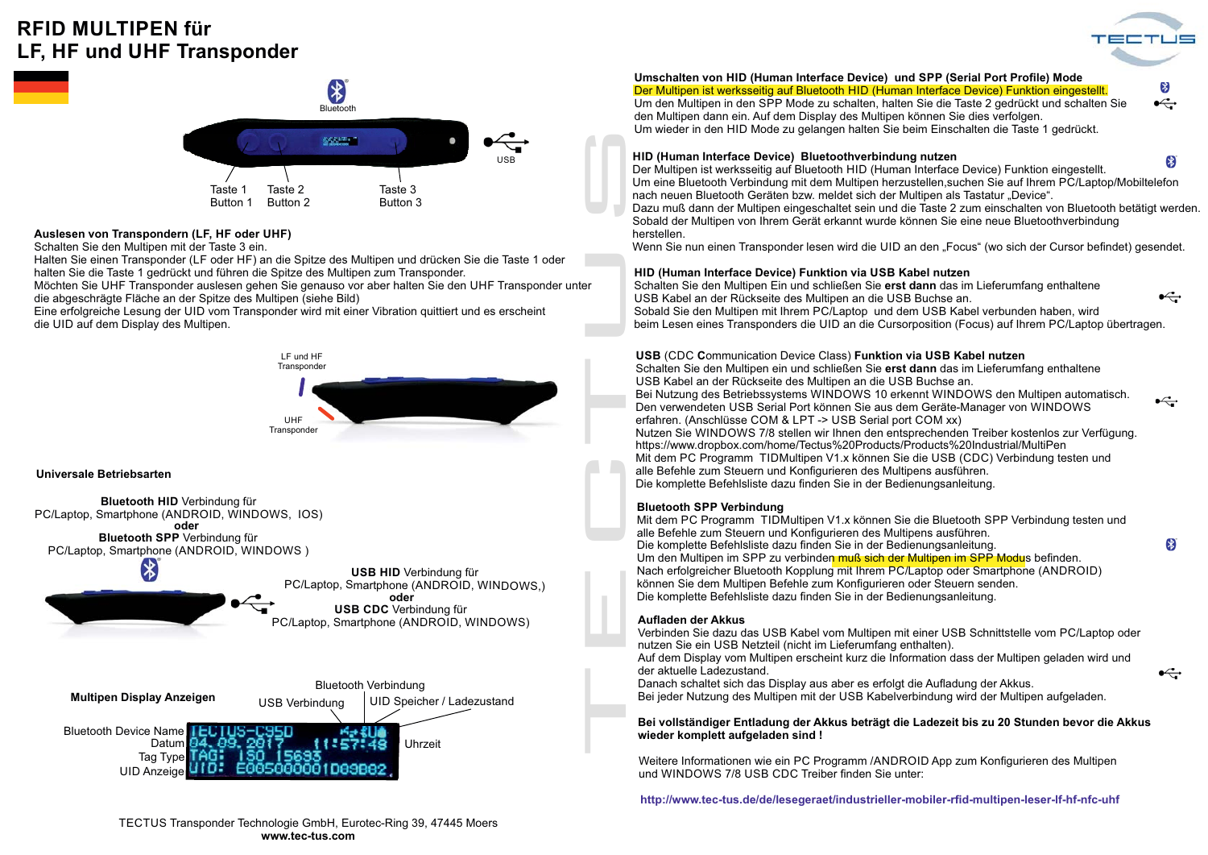# **RFID MULTIPEN fürLF, HF und UHF Transponder**



 $\leftarrow$ 

 $\bullet$ 

 $\leftarrow$ 



# **Auslesen von Transpondern (LF, HF oder UHF)**

Schalten Sie den Multipen mit der Taste 3 ein.

Halten Sie einen Transponder (LF oder HF) an die Spitze des Multipen und drücken Sie die Taste 1 oder halten Sie die Taste 1 gedrückt und führen die Spitze des Multipen zum Transponder.

Möchten Sie UHF Transponder auslesen gehen Sie genauso vor aber halten Sie den UHF Transponder unter die abgeschrägte Fläche an der Spitze des Multipen (siehe Bild)

Eine erfolgreiche Lesung der UID vom Transponder wird mit einer Vibration quittiert und es erscheint die UID auf dem Display des Multipen.



### **Universale Betriebsarten**



#### **Umschalten von HID (Human Interface Device) und SPP (Serial Port Profile) Mode** Der Multipen ist werksseitig auf Bluetooth HID (Human Interface Device) Funktion eingestellt.

(\*

Um den Multipen in den SPP Mode zu schalten, halten Sie die Taste 2 gedrückt und schalten Sie  $\stackrel{\text{\tiny def}}{\leftarrow}$ den Multipen dann ein. Auf dem Display des Multipen können Sie dies verfolgen. Um wieder in den HID Mode zu gelangen halten Sie beim Einschalten die Taste 1 gedrückt.

### **HID (Human Interface Device) Bluetoothverbindung nutzen**

3 Der Multipen ist werksseitig auf Bluetooth HID (Human Interface Device) Funktion eingestellt. Um eine Bluetooth Verbindung mit dem Multipen herzustellen,suchen Sie auf Ihrem PC/Laptop/Mobiltelefon nach neuen Bluetooth Geräten bzw. meldet sich der Multipen als Tastatur "Device".

Dazu muß dann der Multipen eingeschaltet sein und die Taste 2 zum einschalten von Bluetooth betätigt werden. Sobald der Multipen von Ihrem Gerät erkannt wurde können Sie eine neue Bluetoothverbindung herstellen.

Wenn Sie nun einen Transponder lesen wird die UID an den "Focus" (wo sich der Cursor befindet) gesendet.

### **HID (Human Interface Device) Funktion via USB Kabel nutzen**

Schalten Sie den Multipen Ein und schließen Sie erst dann das im Lieferumfang enthaltene  $\stackrel{\text{\tiny def}}{\leftarrow}$ USB Kabel an der Rückseite des Multipen an die USB Buchse an. Sobald Sie den Multipen mit Ihrem PC/Laptop und dem USB Kabel verbunden haben, wird beim Lesen eines Transponders die UID an die Cursorposition (Focus) auf Ihrem PC/Laptop übertragen.

### **USB** (CDC Communication Device Class) Funktion via USB Kabel nutzen

Schalten Sie den Multipen ein und schließen Sie erst dann das im Lieferumfang enthaltene USB Kabel an der Rückseite des Multipen an die USB Buchse an. Bei Nutzung des Betriebssystems WINDOWS 10 erkennt WINDOWS den Multipen automatisch. Den verwendeten USB Serial Port können Sie aus dem Geräte-Manager von WINDOWS erfahren. (Anschlüsse COM & LPT -> USB Serial port COM xx) Nutzen Sie WINDOWS 7/8 stellen wir Ihnen den entsprechenden Treiber kostenlos zur Verfügung. https://www.dropbox.com/home/Tectus%20Products/Products%20Industrial/MultiPen Mit dem PC Programm TIDMultipen V1.x können Sie die USB (CDC) Verbindung testen und alle Befehle zum Steuern und Konfigurieren des Multipens ausführen. Die komplette Befehlsliste dazu finden Sie in der Bedienungsanleitung.

### **Bluetooth SPP Verbindung**

Mit dem PC Programm TIDMultipen V1.x können Sie die Bluetooth SPP Verbindung testen und alle Befehle zum Steuern und Konfigurieren des Multipens ausführen. Die komplette Befehlsliste dazu finden Sie in der Bedienungsanleitung. Um den Multipen im SPP zu verbinden muß sich der Multipen im SPP Modus befinden. Nach erfolgreicher Bluetooth Kopplung mit Ihrem PC/Laptop oder Smartphone (ANDROID) können Sie dem Multipen Befehle zum Konfigurieren oder Steuern senden. Die komplette Befehlsliste dazu finden Sie in der Bedienungsanleitung.

### **Aufladen der Akkus**

Verbinden Sie dazu das USB Kabel vom Multipen mit einer USB Schnittstelle vom PC/Laptop oder nutzen Sie ein USB Netzteil (nicht im Lieferumfang enthalten).

Auf dem Display vom Multipen erscheint kurz die Information dass der Multipen geladen wird und der aktuelle Ladezustand.

Danach schaltet sich das Display aus aber es erfolgt die Aufladung der Akkus. Bei jeder Nutzung des Multipen mit der USB Kabelverbindung wird der Multipen aufgeladen.

### **Bei vollständiger Entladung der Akkus beträgt die Ladezeit bis zu 20 Stunden bevor die Akkus wieder komplett aufgeladen sind !**

Weitere Informationen wie ein PC Programm /ANDROID App zum Konfigurieren des Multipen und WINDOWS 7/8 USB CDC Treiber finden Sie unter:

**http://www.tec-tus.de/de/lesegeraet/industrieller-mobiler-rfid-multipen-leser-lf-hf-nfc-uhf**